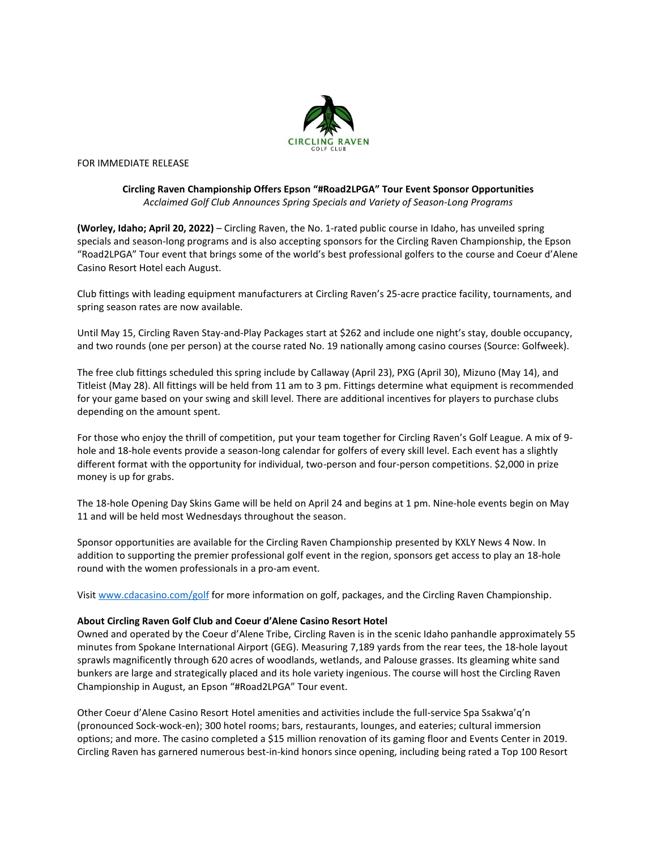

FOR IMMEDIATE RELEASE

## **Circling Raven Championship Offers Epson "#Road2LPGA" Tour Event Sponsor Opportunities** *Acclaimed Golf Club Announces Spring Specials and Variety of Season-Long Programs*

**(Worley, Idaho; April 20, 2022)** – Circling Raven, the No. 1-rated public course in Idaho, has unveiled spring specials and season-long programs and is also accepting sponsors for the Circling Raven Championship, the Epson "Road2LPGA" Tour event that brings some of the world's best professional golfers to the course and Coeur d'Alene Casino Resort Hotel each August.

Club fittings with leading equipment manufacturers at Circling Raven's 25-acre practice facility, tournaments, and spring season rates are now available.

Until May 15, Circling Raven Stay-and-Play Packages start at \$262 and include one night's stay, double occupancy, and two rounds (one per person) at the course rated No. 19 nationally among casino courses (Source: Golfweek).

The free club fittings scheduled this spring include by Callaway (April 23), PXG (April 30), Mizuno (May 14), and Titleist (May 28). All fittings will be held from 11 am to 3 pm. Fittings determine what equipment is recommended for your game based on your swing and skill level. There are additional incentives for players to purchase clubs depending on the amount spent.

For those who enjoy the thrill of competition, put your team together for Circling Raven's Golf League. A mix of 9 hole and 18-hole events provide a season-long calendar for golfers of every skill level. Each event has a slightly different format with the opportunity for individual, two-person and four-person competitions. \$2,000 in prize money is up for grabs.

The 18-hole Opening Day Skins Game will be held on April 24 and begins at 1 pm. Nine-hole events begin on May 11 and will be held most Wednesdays throughout the season.

Sponsor opportunities are available for the Circling Raven Championship presented by KXLY News 4 Now. In addition to supporting the premier professional golf event in the region, sponsors get access to play an 18-hole round with the women professionals in a pro-am event.

Visit [www.cdacasino.com/](http://www.cdacasino.com/)golf for more information on golf, packages, and the Circling Raven Championship.

## **About Circling Raven Golf Club and Coeur d'Alene Casino Resort Hotel**

Owned and operated by the Coeur d'Alene Tribe, Circling Raven is in the scenic Idaho panhandle approximately 55 minutes from Spokane International Airport (GEG). Measuring 7,189 yards from the rear tees, the 18-hole layout sprawls magnificently through 620 acres of woodlands, wetlands, and Palouse grasses. Its gleaming white sand bunkers are large and strategically placed and its hole variety ingenious. The course will host the Circling Raven Championship in August, an Epson "#Road2LPGA" Tour event.

Other Coeur d'Alene Casino Resort Hotel amenities and activities include the full-service Spa Ssakwa'q'n (pronounced Sock-wock-en); 300 hotel rooms; bars, restaurants, lounges, and eateries; cultural immersion options; and more. The casino completed a \$15 million renovation of its gaming floor and Events Center in 2019. Circling Raven has garnered numerous best-in-kind honors since opening, including being rated a Top 100 Resort